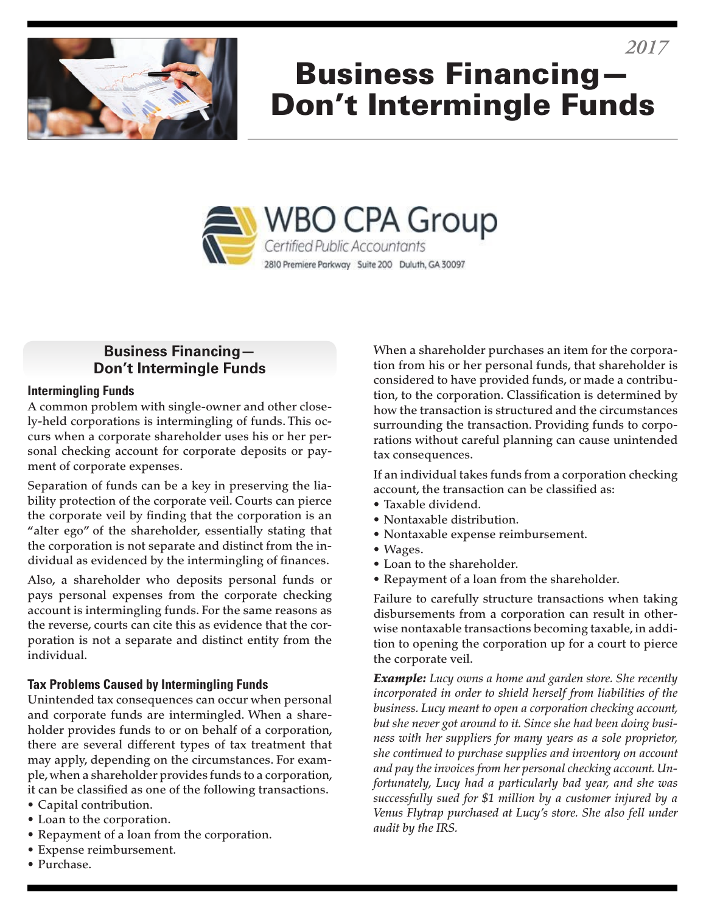

# Business Financing— Don't Intermingle Funds



### **Business Financing— Don't Intermingle Funds**

#### **Intermingling Funds**

A common problem with single-owner and other closely-held corporations is intermingling of funds. This occurs when a corporate shareholder uses his or her personal checking account for corporate deposits or payment of corporate expenses.

Separation of funds can be a key in preserving the liability protection of the corporate veil. Courts can pierce the corporate veil by finding that the corporation is an "alter ego" of the shareholder, essentially stating that the corporation is not separate and distinct from the individual as evidenced by the intermingling of finances.

Also, a shareholder who deposits personal funds or pays personal expenses from the corporate checking account is intermingling funds. For the same reasons as the reverse, courts can cite this as evidence that the corporation is not a separate and distinct entity from the individual.

#### **Tax Problems Caused by Intermingling Funds**

Unintended tax consequences can occur when personal and corporate funds are intermingled. When a shareholder provides funds to or on behalf of a corporation, there are several different types of tax treatment that may apply, depending on the circumstances. For example, when a shareholder provides funds to a corporation, it can be classified as one of the following transactions.

- Capital contribution.
- Loan to the corporation.
- Repayment of a loan from the corporation.
- Expense reimbursement.
- Purchase.

When a shareholder purchases an item for the corporation from his or her personal funds, that shareholder is considered to have provided funds, or made a contribution, to the corporation. Classification is determined by how the transaction is structured and the circumstances surrounding the transaction. Providing funds to corporations without careful planning can cause unintended tax consequences.

If an individual takes funds from a corporation checking account, the transaction can be classified as:

- Taxable dividend.
- Nontaxable distribution.
- Nontaxable expense reimbursement.
- Wages.
- Loan to the shareholder.
- Repayment of a loan from the shareholder.

Failure to carefully structure transactions when taking disbursements from a corporation can result in otherwise nontaxable transactions becoming taxable, in addition to opening the corporation up for a court to pierce the corporate veil.

*Example: Lucy owns a home and garden store. She recently incorporated in order to shield herself from liabilities of the business. Lucy meant to open a corporation checking account, but she never got around to it. Since she had been doing business with her suppliers for many years as a sole proprietor, she continued to purchase supplies and inventory on account and pay the invoices from her personal checking account. Unfortunately, Lucy had a particularly bad year, and she was successfully sued for \$1 million by a customer injured by a Venus Flytrap purchased at Lucy's store. She also fell under audit by the IRS.*